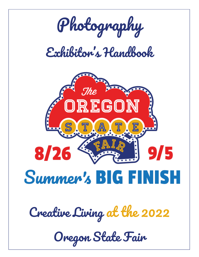

*Creative Living at the 2022*

*Oregon State Fair*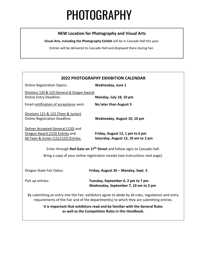# PHOTOGRAPHY

#### **NEW Location for Photography and Visual Arts**

**Visual Arts, including the Photography Exhibit** will be in Cascade Hall this year.

Entries will be delivered to Cascade Hall and displayed there during Fair.

### **2022 PHOTOGRAPHY EXHIBITION CALENDAR** Online Registration Opens: **Wednesday, June 1** Divisions 120 & 123 (General & Oregon Award) Online Entry Deadline: **Monday, July 18, 10 pm** Email notification of acceptance sent**: No later than August 3** Divisions 121 & 122 (Teen & Junior) Online Registration Deadline: **Wednesday, August 10, 10 pm** Deliver Accepted General (120) and Oregon Award (123) Entries and **Friday, August 12, 1 pm to 6 pm** All Teen & Junior (121/122) Entries: **Saturday, August 13, 10 am to 2 pm** Enter through **Red Gate on 17th Street** and follow signs to Cascade Hall. Bring a copy of your online registration receipt (see instructions next page). Oregon State Fair Dates: **Friday, August 26 – Monday, Sept. 5** Pick up entries: **Tuesday, September 6, 2 pm to 7 pm Wednesday, September 7, 10 am to 2 pm** By submitting an entry into the Fair, exhibitors agree to abide by all rules, regulations and entry requirements of the Fair and of the department(s) to which they are submitting entries. **It is important that exhibitors read and be familiar with the General Rules as well as the Competition Rules in this Handbook.**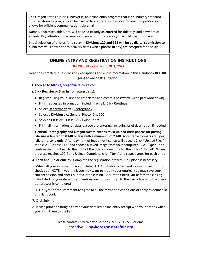The Oregon State Fair uses ShoWorks, an online entry program that is an industry standard. This user-friendly program can be trusted to accurately enter you into our competitions and allows for efficient communications via email.

Names, addresses, titles, etc. will be used **exactly as entered** for title tags and payment of awards. Pay attention to accuracy and enter information as you would like it displayed.

Initial selection of photos for display **i**n **Divisions 120 and 123 will be by digital submission** so exhibitors will know prior to delivery dates which photos (if any) are accepted for display.

#### **ONLINE ENTRY AND REGISTRATION INSTRUCTIONS ONLINE ENTRY OPENS JUNE 1, 2022**

Read the complete rules, division descriptions and entry information in this Handbook **BEFORE** going to online Registration.

**1.** Then go to **[https://oregonva.fairwire.com](https://oregonva.fairwire.com/)**

**2.** Click **Register** or **Sign In** (for return visits).

- Register using your First and Last Name and create a password (write password down).
- Fill in requested information, including email. Click **Continue**.
- Select **Department** ex.: Photography
- Select a **Division** ex.: General Photo, Div. 120
- Select a **Class** ex.: Class 1202 Color Prints
- Fill in all information for class(es) you are entering, including brief description if needed.
- 3. **General Photography and Oregon Award entries must upload their photos for jurying. File size is limited to 8 MB or less with a minimum of 2 MB.** Acceptable formats are .jpeg, .gif, .bmp, .png **only.** After payment of fees a notification will appear. Click "Upload Files" then click "Choose File" and choose a saved image from your computer. Click "Open" and confirm the thumbnail to the right of the title is correct photo, then Click "Upload". When progress reaches 100% and Upload Complete, click "Next" and repeat steps for each entry.
- 4. **Teen and Junior entries:** Complete the registration process. No upload is necessary.
- 5. When all your information is complete, click Add Entry to Cart and follow instructions to check out. (NOTE: If you think you may want to modify your entries, you may save your current session and check out at a later session. Be sure to Check Out before the closing date listed for your department; entries are not submitted to the Fair office until the check out process is complete.)
- 6. Fill in "yes" at the statement to agree to all the terms and conditions of entry as defined in this Handbook.
- 7. Click Submit.
- 8. Please print and bring a copy of your detailed online entry receipt with your entries when you bring them to the Fair.

Please contact us with any questions. 971-701-6571 or email [creativeliving@oregonstatefair.org](mailto:creativeliving@oregonstatefair.org)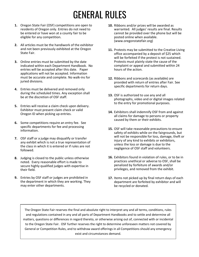## GENERAL RULES

- **1.** Oregon State Fair (OSF) competitions are open to residents of Oregon only. Entries do not need to be entered or have won at a county fair to be eligible for any competition.
- **2.** All articles must be the handiwork of the exhibitor and not been previously exhibited at the Oregon State Fair.
- **3.** Online entries must be submitted by the date indicated within each Department Handbook. No entries will be accepted after this date. Paper applications will not be accepted. Information must be accurate and complete. No walk-ins for juried divisions.
- **4.** Entries must be delivered and removed only during the scheduled times. Any exception shall be at the discretion of OSF staff.
- **5.** Entries will receive a claim check upon delivery. Exhibitor must present claim check or valid Oregon ID when picking up entries.
- **6.** Some competitions require an entry fee. See specific departments for fee and processing information.
- **7.** OSF staff or a judge may disqualify or transfer any exhibit which is not a true representation of the class in which it is entered or if rules are not followed.
- **8.** Judging is closed to the public unless otherwise noted. Every reasonable effort is made to secure highly qualified judges with expertise in their field.
- **9.** Entries by OSF staff or judges are prohibited in the department in which they are working. They may enter other departments.
- **10.** Ribbons and/or prizes will be awarded as warranted. All judges' results are final. Results cannot be provided over the phone but will be posted online when available. (www.oregonstatefair.org)
- **11.** Protests may be submitted to the Creative Living office accompanied by a deposit of \$25 which will be forfeited if the protest is not sustained. Protests must plainly state the cause of the complaint or appeal and submitted within 24 hours of the action.
- **12.** Ribbons and scorecards (as available) are provided with return of entries after Fair. See specific departments for return days.
- **13.** OSF is authorized to use any and all photographs, video and or digital images related to the entry for promotional purposes.
- **14.** Exhibitors shall indemnify OSF from and against all claims for damage to persons or property caused by them or their exhibits.
- **15.** OSF will take reasonable precautions to ensure safety of exhibits while on the fairgrounds, but will not be responsible for loss, damage, theft or injury of any kind to exhibits or exhibitors, unless the loss or damage is due to the negligence of OSF staff and volunteers.
- **16.** Exhibitors found in violation of rules, or to be in practices unethical or adverse to OSF, shall be penalized by forfeiture of awards and/or privileges, and removed from the exhibit.
- **17.** Items not picked up by final return days of each department are forfeited by exhibitor and will be recycled or donated.

The Oregon State Fair reserves the final and absolute right to interpret any and all terms, conditions, rules and regulations contained in any and all parts of Department Handbooks and to settle and determine all matters, questions or differences in regard thereto, or otherwise arising out of, connected with or incidental to the Oregon State Fair. OSF further reserves the right to determine unforeseen matters not covered by General or Competition Rules, and to withdraw award offerings in all Competitions should any emergency exist and circumstances demand.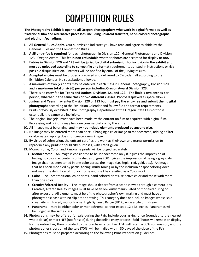## COMPETITION RULES

**The Photography Exhibit is open to all Oregon photographers who work in digital format as well as traditional film and alternative processes, including Polaroid transfers, hand-colored photographs and platinum/palladium.**

- 1. **All General Rules Apply**. Your submission indicates you have read and agree to abide by the General Rules and the Competition Rules.
- 2. **A \$5 entry fee is required** for each photograph in Division 120 General Photography and Division 123 - Oregon Award. This fee is **non-refundable** whether photos are accepted for display **or not.**
- 3. Entries in **Division 120 and 123 will be juried by digital submission for inclusion in the exhibit and must be uploaded according to correct file and format** requirements as listed in instructions or risk possible disqualification. Entrants will be notified by email of the jurying results.
- 4. **Accepted entries** must be properly prepared and delivered to Cascade Hall according to the Exhibition Calendar. No substitutions allowed.
- 5. A maximum of two **(2)** prints may be entered in each Class in General Photography, Division 120, and a **maximum total of six (6) per person including Oregon Award Division 123.**
- 6. There is no entry fee for **Teens and Juniors, Divisions 121 and 122. The limit is two entries per person, whether in the same class or two different classes.** Photos displayed as space allows.
- 7. **Juniors and Teens** may enter Division 120 or 123 but **must pay the entry fee and submit their digital photographs** according to the Exhibition Calendar and follow file and format requirements.
- 8. Prints previously exhibited in the Photography Department at the Oregon State Fair (or those essentially the same) are ineligible.
- 9. The original image(s) must have been made by the entrant on film or acquired with digital film. Processing and printing may be done commercially or by the entrant.
- 10. All images must be original **and may not include elements produced by anyone else**.
- 11. No image may be entered more than once. Changing a color image to monochrome, adding a filter or alternate cropping does not create a new image.
- 12. By virtue of submission, the entrant certifies the work as their own and grants permission to reproduce any prints for publicity purposes, with credit given.
- 13. Monochrome, Color, and Panorama prints will be judged separately.
	- **Monochrome** An image is considered to be Monochrome only if it gives the impression of having no color (i.e. contains only shades of grey) OR it gives the impression of being a greyscale image that has been toned in one color across the image (i.e. Sepia, red, gold, etc.). An image that has been modified by partial toning, multi-toning or by the inclusion or spot coloring does not meet the definition of monochrome and shall be classified as a Color work.
	- **Color** Includes traditional color prints, hand colored prints, selective color and those with more than one color.
	- **Creative/Altered Reality** The image should depart from a scene viewed through a camera lens. Creative/Altered Reality images must have been obviously manipulated or modified during or after exposure. All elements must be of the photographer's own making and must have a photographic base with no clip art or drawing. This category does not include images whose sole creativity is infrared, monochrome, High Dynamic Range (HDR), wide angle or fish eye.
	- **Panorama** may be either color or monochrome, cannot exceed 12 x 36 inches. Panoramas will be judged in the same class.
- 14. Photographs may be offered for sale during the Fair. Include your asking price (rounded to the nearest whole dollar) or mark NFS (not for sale) during the online entry process. Sold Photos will remain on display for the entire Fair, then provided to the purchaser after Fair. OSF will retain a 30% commission, and the photographer's portion of the sale (70%) will be mailed within 30 days of the close of the Fair.
- 15. Photographs must be prepared according to the following Print Preparation guidelines.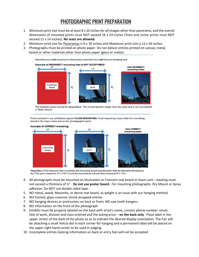### PHOTOGRAPHIC PRINT PREPARATION

- 1. Minimum print size must be at least 8 x 10 inches for all images other than panorama, and the overall dimensions of mounted prints must NOT exceed 16 x 24 inches (Teen and Junior prints must NOT exceed 11 x 14 inches). **No mats are allowed.**
- 2. Minimum print size for Panoramas is 6 x 18 inches and Maximum print size is 12 x 36 inches.
- 3. Photographs must be printed on photo paper. Do not deliver entries printed on canvas, metal, board or other materials other than photo paper (gloss or matte).

Mounting must not exceed print dimensions and prints must not have an overlying mat.



The example above would be disqualified. The mount board is larger than the print and is not considered a "flush mount."

Prints entered in our exhibition require FLUSH MOUNTING. Flush mounting means that the mounting board is the exact same size as the photographic print.



Regardless of the size print that is entered, the mounting board and the print must be the same dimensions. So, if the print measures  $8''$  x 11¼" it must be mounted on a board that measures  $8''$  x 11¼".

- 4. All photographs must be mounted on Illustration or Crescent mat board or foam core backing must not exceed a thickness of ¼". **Do not use poster board.** For mounting photographs: Dry Mount or Spray adhesive. Do NOT use double sided tape.
- 5. NO metal, wood, Masonite, or dense mat board, as weight is an issue with our hanging method.
- 6. NO framed, glass-covered, shrink-wrapped entries.
- 7. NO hanging devices or protrusions on back or front; NO saw tooth hangers.
- 8. NO information on the front of the photograph.
- 9. Exhibits must be properly labeled on the back with artist's name, contact phone number, email, title of work, division and class entered and the asking price – **on the back only**. Place label in the upper center of the back of the photo so as to indicate the desired display orientation. The Fair will be attaching a small Velcro dot in each corner for hanging and a permanent label will be placed on the upper right-hand corner to be used in judging.
- 10. Incomplete entries (lacking information on back or entry fee) will not be accepted.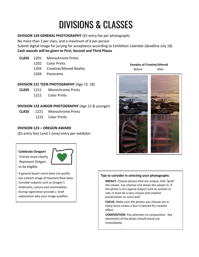## DIVISIONS & CLASSES

#### **DIVISION 120 GENERAL PHOTOGRAPHY** (\$5 entry fee per photograph)

No more than 2 per class, and a maximum of 6 per person

Submit digital image for jurying for acceptance according to Exhibition Calendar (deadline July 18) **Cash awards will be given to First, Second and Third Places**

- **CLASS** 1201 Monochrome Prints
	- 1202 Color Prints
	- 1203 Creative/Altered Reality
	- 1204 Panorama

#### **DIVISION 121 TEEN PHOTOGRAPHY** (Age 13 -18)

- **CLASS** 1211 Monochrome Prints
	- 1212 Color Prints

#### **DIVISION 122 JUNIOR PHOTOGRAPHY** (Age 12 & younger)

 **CLASS** 1221 Monochrome Prints 1222 Color Prints

#### **DIVISION 123 – OREGON AWARD**

(\$5 entry fee) Limit 1 (one) entry per exhibitor

**Celebrate Oregon!** Entries must clearly

Represent Oregon

to be eligible.



A general beach scene does not qualify but a beach image of Haystack Rock does. Consider subjects such as Oregon's landmarks, culture and commodities. During registration provide a brief explanation why your image qualifies.



**Samples of Creative/Altered** Before After

#### **Tips to consider in selecting your photographs**:

**IMPACT**: Choose photos that are unique, that "grab" the viewer, has interest and draws the viewer in. If the photo is of a typical subject such as sunsets or cats, it must be a very unique and creative presentation to score well.

**FOCUS**: Make sure the photos you choose are in sharp focus unless a blur is desired for creative effect.

**COMPOSITION**: Pay attention to composition. Key element(s) of the photo should stand out immediately.